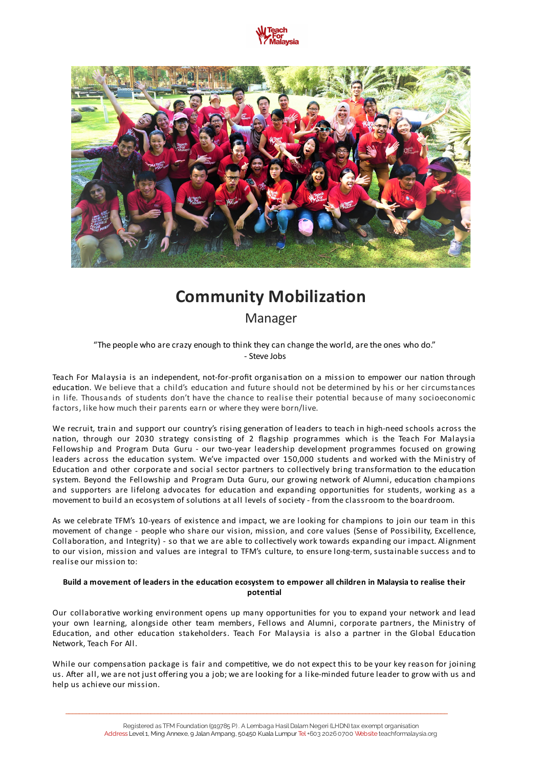



# **Community Mobilization**

Manager

"The people who are crazy enough to think they can change the world, are the ones who do." - Steve Jobs

Teach For Malaysia is an independent, not-for-profit organisation on a mission to empower our nation through education. We believe that a child's education and future should not be determined by his or her circumstances in life. Thousands of students don't have the chance to realise their potential because of many socioeconomic factors, like how much their parents earn or where they were born/live.

We recruit, train and support our country's rising generation of leaders to teach in high-need schools across the nation, through our 2030 strategy consisting of 2 flagship programmes which is the Teach For Malaysia Fellowship and Program Duta Guru - our two-year leadership development programmes focused on growing leaders across the education system. We've impacted over 150,000 students and worked with the Ministry of Education and other corporate and social sector partners to collectively bring transformation to the education system. Beyond the Fellowship and Program Duta Guru, our growing network of Alumni, education champions and supporters are lifelong advocates for education and expanding opportunities for students, working as a movement to build an ecosystem of solutions at all levels of society - from the classroom to the boardroom.

As we celebrate TFM's 10-years of existence and impact, we are looking for champions to join our team in this movement of change - people who share our vision, mission, and core values (Sense of Possibility, Excellence, Collaboration, and Integrity) - so that we are able to collectively work towards expanding our impact. Alignment to our vision, mission and values are integral to TFM's culture, to ensure long-term, sustainable success and to realise our mission to:

#### Build a movement of leaders in the education ecosystem to empower all children in Malaysia to realise their **potential**

Our collaborative working environment opens up many opportunities for you to expand your network and lead your own learning, alongside other team members, Fellows and Alumni, corporate partners, the Ministry of Education, and other education stakeholders. Teach For Malaysia is also a partner in the Global Education Network, Teach For All.

While our compensation package is fair and competitive, we do not expect this to be your key reason for joining us. After all, we are not just offering you a job; we are looking for a like-minded future leader to grow with us and help us achieve our mission.

\_\_\_\_\_\_\_\_\_\_\_\_\_\_\_\_\_\_\_\_\_\_\_\_\_\_\_\_\_\_\_\_\_\_\_\_\_\_\_\_\_\_\_\_\_\_\_\_\_\_\_\_\_\_\_\_\_\_\_\_\_\_\_\_\_\_\_\_\_\_\_\_\_\_\_\_\_\_\_\_\_\_\_\_\_\_\_\_\_\_\_\_\_\_\_\_\_\_\_\_\_\_\_\_\_\_\_\_\_\_\_\_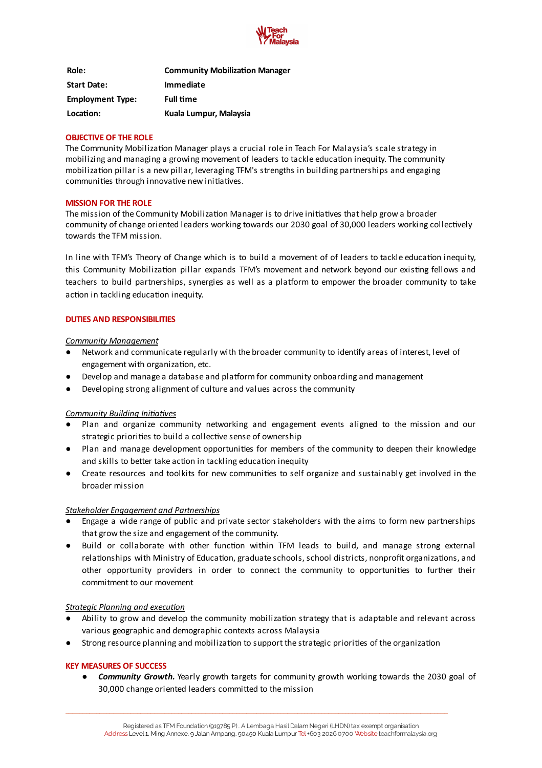

| Role:                   | <b>Community Mobilization Manager</b> |
|-------------------------|---------------------------------------|
| <b>Start Date:</b>      | <b>Immediate</b>                      |
| <b>Employment Type:</b> | <b>Full time</b>                      |
| Location:               | Kuala Lumpur, Malaysia                |

#### **OBJECTIVE OF THE ROLE**

The Community Mobilization Manager plays a crucial role in Teach For Malaysia's scale strategy in mobilizing and managing a growing movement of leaders to tackle education inequity. The community mobilization pillar is a new pillar, leveraging TFM's strengths in building partnerships and engaging communities through innovative new initiatives.

#### **MISSION FOR THE ROLE**

The mission of the Community Mobilization Manager is to drive initiatives that help grow a broader community of change oriented leaders working towards our 2030 goal of 30,000 leaders working collectively towards the TFM mission.

In line with TFM's Theory of Change which is to build a movement of of leaders to tackle education inequity, this Community Mobilization pillar expands TFM's movement and network beyond our existing fellows and teachers to build partnerships, synergies as well as a platform to empower the broader community to take action in tackling education inequity.

# **DUTIES AND RESPONSIBILITIES**

#### *Community Management*

- Network and communicate regularly with the broader community to identify areas of interest, level of engagement with organization, etc.
- Develop and manage a database and platform for community onboarding and management
- Developing strong alignment of culture and values across the community

### *Community Building Initiatives*

- Plan and organize community networking and engagement events aligned to the mission and our strategic priorities to build a collective sense of ownership
- Plan and manage development opportunies for members of the community to deepen their knowledge and skills to better take action in tackling education inequity
- Create resources and toolkits for new communities to self organize and sustainably get involved in the broader mission

#### *Stakeholder Engagement and Partnerships*

- Engage a wide range of public and private sector stakeholders with the aims to form new partnerships that grow the size and engagement of the community.
- Build or collaborate with other function within TFM leads to build, and manage strong external relationships with Ministry of Education, graduate schools, school districts, nonprofit organizations, and other opportunity providers in order to connect the community to opportunities to further their commitment to our movement

### *Strategic Planning and execution*

- Ability to grow and develop the community mobilization strategy that is adaptable and relevant across various geographic and demographic contexts across Malaysia
- Strong resource planning and mobilization to support the strategic priorities of the organization

### **KEY MEASURES OF SUCCESS**

*● Community Growth.* Yearly growth targets for community growth working towards the 2030 goal of 30,000 change oriented leaders committed to the mission

\_\_\_\_\_\_\_\_\_\_\_\_\_\_\_\_\_\_\_\_\_\_\_\_\_\_\_\_\_\_\_\_\_\_\_\_\_\_\_\_\_\_\_\_\_\_\_\_\_\_\_\_\_\_\_\_\_\_\_\_\_\_\_\_\_\_\_\_\_\_\_\_\_\_\_\_\_\_\_\_\_\_\_\_\_\_\_\_\_\_\_\_\_\_\_\_\_\_\_\_\_\_\_\_\_\_\_\_\_\_\_\_